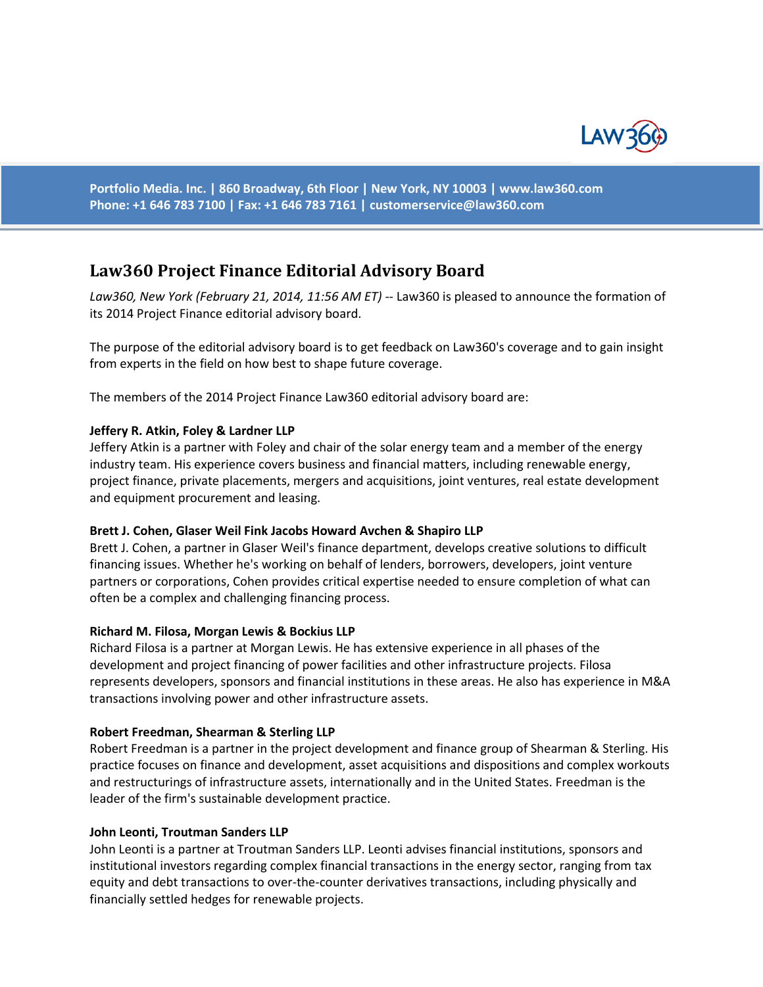

**Portfolio Media. Inc. | 860 Broadway, 6th Floor | New York, NY 10003 | www.law360.com Phone: +1 646 783 7100 | Fax: +1 646 783 7161 | [customerservice@law360.com](mailto:customerservice@law360.com)**

# **Law360 Project Finance Editorial Advisory Board**

*Law360, New York (February 21, 2014, 11:56 AM ET)* -- Law360 is pleased to announce the formation of its 2014 Project Finance editorial advisory board.

The purpose of the editorial advisory board is to get feedback on Law360's coverage and to gain insight from experts in the field on how best to shape future coverage.

The members of the 2014 Project Finance Law360 editorial advisory board are:

# **Jeffery R. Atkin, Foley & Lardner LLP**

Jeffery Atkin is a partner with Foley and chair of the solar energy team and a member of the energy industry team. His experience covers business and financial matters, including renewable energy, project finance, private placements, mergers and acquisitions, joint ventures, real estate development and equipment procurement and leasing.

### **Brett J. Cohen, Glaser Weil Fink Jacobs Howard Avchen & Shapiro LLP**

Brett J. Cohen, a partner in Glaser Weil's finance department, develops creative solutions to difficult financing issues. Whether he's working on behalf of lenders, borrowers, developers, joint venture partners or corporations, Cohen provides critical expertise needed to ensure completion of what can often be a complex and challenging financing process.

### **Richard M. Filosa, Morgan Lewis & Bockius LLP**

Richard Filosa is a partner at Morgan Lewis. He has extensive experience in all phases of the development and project financing of power facilities and other infrastructure projects. Filosa represents developers, sponsors and financial institutions in these areas. He also has experience in M&A transactions involving power and other infrastructure assets.

### **Robert Freedman, Shearman & Sterling LLP**

Robert Freedman is a partner in the project development and finance group of Shearman & Sterling. His practice focuses on finance and development, asset acquisitions and dispositions and complex workouts and restructurings of infrastructure assets, internationally and in the United States. Freedman is the leader of the firm's sustainable development practice.

### **John Leonti, Troutman Sanders LLP**

John Leonti is a partner at Troutman Sanders LLP. Leonti advises financial institutions, sponsors and institutional investors regarding complex financial transactions in the energy sector, ranging from tax equity and debt transactions to over-the-counter derivatives transactions, including physically and financially settled hedges for renewable projects.